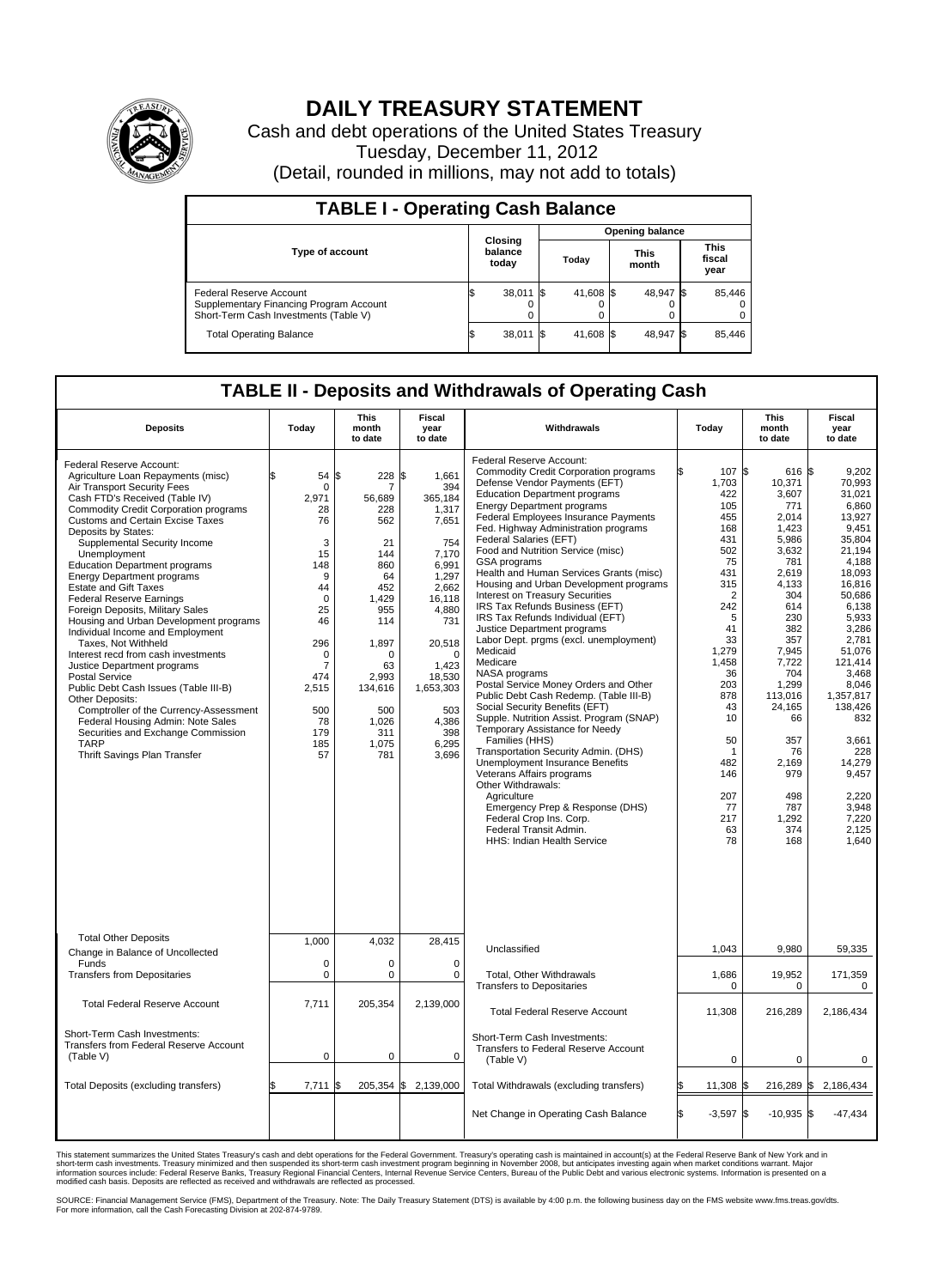

## **DAILY TREASURY STATEMENT**

Cash and debt operations of the United States Treasury Tuesday, December 11, 2012 (Detail, rounded in millions, may not add to totals)

| <b>TABLE I - Operating Cash Balance</b>                                                                     |                             |                        |           |  |                      |                               |                         |  |  |  |  |  |
|-------------------------------------------------------------------------------------------------------------|-----------------------------|------------------------|-----------|--|----------------------|-------------------------------|-------------------------|--|--|--|--|--|
|                                                                                                             |                             | <b>Opening balance</b> |           |  |                      |                               |                         |  |  |  |  |  |
| <b>Type of account</b>                                                                                      | Closing<br>balance<br>today |                        | Today     |  | <b>This</b><br>month | <b>This</b><br>fiscal<br>year |                         |  |  |  |  |  |
| Federal Reserve Account<br>Supplementary Financing Program Account<br>Short-Term Cash Investments (Table V) | 38,011 \$<br>0              |                        | 41,608 \$ |  | 48,947 \$            |                               | 85,446<br>$^{(1)}$<br>0 |  |  |  |  |  |
| <b>Total Operating Balance</b>                                                                              | 38,011                      |                        | 41,608 \$ |  | 48,947 \$            |                               | 85.446                  |  |  |  |  |  |

## **TABLE II - Deposits and Withdrawals of Operating Cash**

| <b>Deposits</b>                                                                                                                                                                                                                                                                                                                                                                                                                                                                                                                                                                                                                                                                                                                                                                                                                                                                                             | Todav                                                                                                                                                               | <b>This</b><br>month<br>to date                                                                                                                                                         | Fiscal<br>vear<br>to date                                                                                                                                                                                             | Withdrawals                                                                                                                                                                                                                                                                                                                                                                                                                                                                                                                                                                                                                                                                                                                                                                                                                                                                                                                                                                                                                                                                                                                                                          | Todav                                                                                                                                                                                                                               | This<br>month<br>to date                                                                                                                                                                                                                                                  | Fiscal<br>year<br>to date                                                                                                                                                                                                                                                                                  |  |  |
|-------------------------------------------------------------------------------------------------------------------------------------------------------------------------------------------------------------------------------------------------------------------------------------------------------------------------------------------------------------------------------------------------------------------------------------------------------------------------------------------------------------------------------------------------------------------------------------------------------------------------------------------------------------------------------------------------------------------------------------------------------------------------------------------------------------------------------------------------------------------------------------------------------------|---------------------------------------------------------------------------------------------------------------------------------------------------------------------|-----------------------------------------------------------------------------------------------------------------------------------------------------------------------------------------|-----------------------------------------------------------------------------------------------------------------------------------------------------------------------------------------------------------------------|----------------------------------------------------------------------------------------------------------------------------------------------------------------------------------------------------------------------------------------------------------------------------------------------------------------------------------------------------------------------------------------------------------------------------------------------------------------------------------------------------------------------------------------------------------------------------------------------------------------------------------------------------------------------------------------------------------------------------------------------------------------------------------------------------------------------------------------------------------------------------------------------------------------------------------------------------------------------------------------------------------------------------------------------------------------------------------------------------------------------------------------------------------------------|-------------------------------------------------------------------------------------------------------------------------------------------------------------------------------------------------------------------------------------|---------------------------------------------------------------------------------------------------------------------------------------------------------------------------------------------------------------------------------------------------------------------------|------------------------------------------------------------------------------------------------------------------------------------------------------------------------------------------------------------------------------------------------------------------------------------------------------------|--|--|
| Federal Reserve Account:<br>Agriculture Loan Repayments (misc)<br>Air Transport Security Fees<br>Cash FTD's Received (Table IV)<br>Commodity Credit Corporation programs<br><b>Customs and Certain Excise Taxes</b><br>Deposits by States:<br>Supplemental Security Income<br>Unemployment<br><b>Education Department programs</b><br><b>Energy Department programs</b><br><b>Estate and Gift Taxes</b><br><b>Federal Reserve Earnings</b><br>Foreign Deposits, Military Sales<br>Housing and Urban Development programs<br>Individual Income and Employment<br>Taxes, Not Withheld<br>Interest recd from cash investments<br>Justice Department programs<br>Postal Service<br>Public Debt Cash Issues (Table III-B)<br>Other Deposits:<br>Comptroller of the Currency-Assessment<br>Federal Housing Admin: Note Sales<br>Securities and Exchange Commission<br><b>TARP</b><br>Thrift Savings Plan Transfer | 54<br>0<br>2.971<br>28<br>76<br>3<br>15<br>148<br>9<br>44<br>$\mathbf 0$<br>25<br>46<br>296<br>0<br>$\overline{7}$<br>474<br>2,515<br>500<br>78<br>179<br>185<br>57 | \$<br>228<br>7<br>56,689<br>228<br>562<br>21<br>144<br>860<br>64<br>452<br>1,429<br>955<br>114<br>1,897<br>$\mathbf 0$<br>63<br>2.993<br>134,616<br>500<br>1.026<br>311<br>1,075<br>781 | 1,661<br>ደ<br>394<br>365,184<br>1,317<br>7,651<br>754<br>7.170<br>6,991<br>1,297<br>2.662<br>16,118<br>4,880<br>731<br>20,518<br>$\mathbf 0$<br>1,423<br>18,530<br>1,653,303<br>503<br>4.386<br>398<br>6,295<br>3,696 | Federal Reserve Account:<br><b>Commodity Credit Corporation programs</b><br>Defense Vendor Payments (EFT)<br><b>Education Department programs</b><br><b>Energy Department programs</b><br>Federal Employees Insurance Payments<br>Fed. Highway Administration programs<br>Federal Salaries (EFT)<br>Food and Nutrition Service (misc)<br>GSA programs<br>Health and Human Services Grants (misc)<br>Housing and Urban Development programs<br>Interest on Treasury Securities<br>IRS Tax Refunds Business (EFT)<br>IRS Tax Refunds Individual (EFT)<br>Justice Department programs<br>Labor Dept. prgms (excl. unemployment)<br>Medicaid<br>Medicare<br>NASA programs<br>Postal Service Money Orders and Other<br>Public Debt Cash Redemp. (Table III-B)<br>Social Security Benefits (EFT)<br>Supple. Nutrition Assist. Program (SNAP)<br>Temporary Assistance for Needy<br>Families (HHS)<br>Transportation Security Admin. (DHS)<br><b>Unemployment Insurance Benefits</b><br>Veterans Affairs programs<br>Other Withdrawals:<br>Agriculture<br>Emergency Prep & Response (DHS)<br>Federal Crop Ins. Corp.<br>Federal Transit Admin.<br>HHS: Indian Health Service | 107 \$<br>1,703<br>422<br>105<br>455<br>168<br>431<br>502<br>75<br>431<br>315<br>$\overline{2}$<br>242<br>5<br>41<br>33<br>1,279<br>1,458<br>36<br>203<br>878<br>43<br>10<br>50<br>-1<br>482<br>146<br>207<br>77<br>217<br>63<br>78 | $616$ $\sqrt{5}$<br>10,371<br>3,607<br>771<br>2,014<br>1,423<br>5,986<br>3,632<br>781<br>2,619<br>4,133<br>304<br>614<br>230<br>382<br>357<br>7,945<br>7,722<br>704<br>1,299<br>113,016<br>24,165<br>66<br>357<br>76<br>2,169<br>979<br>498<br>787<br>1,292<br>374<br>168 | 9.202<br>70,993<br>31,021<br>6,860<br>13.927<br>9,451<br>35,804<br>21.194<br>4,188<br>18,093<br>16,816<br>50.686<br>6,138<br>5,933<br>3,286<br>2,781<br>51.076<br>121,414<br>3,468<br>8,046<br>1,357,817<br>138,426<br>832<br>3,661<br>228<br>14,279<br>9,457<br>2,220<br>3.948<br>7,220<br>2.125<br>1,640 |  |  |
| <b>Total Other Deposits</b><br>Change in Balance of Uncollected                                                                                                                                                                                                                                                                                                                                                                                                                                                                                                                                                                                                                                                                                                                                                                                                                                             | 1,000                                                                                                                                                               | 4.032                                                                                                                                                                                   | 28,415                                                                                                                                                                                                                | Unclassified                                                                                                                                                                                                                                                                                                                                                                                                                                                                                                                                                                                                                                                                                                                                                                                                                                                                                                                                                                                                                                                                                                                                                         | 1,043                                                                                                                                                                                                                               | 9,980                                                                                                                                                                                                                                                                     | 59,335                                                                                                                                                                                                                                                                                                     |  |  |
| Funds<br><b>Transfers from Depositaries</b>                                                                                                                                                                                                                                                                                                                                                                                                                                                                                                                                                                                                                                                                                                                                                                                                                                                                 | 0<br>0                                                                                                                                                              | 0<br>$\mathbf 0$                                                                                                                                                                        | $\mathbf 0$<br>$\mathbf 0$                                                                                                                                                                                            | Total, Other Withdrawals<br><b>Transfers to Depositaries</b>                                                                                                                                                                                                                                                                                                                                                                                                                                                                                                                                                                                                                                                                                                                                                                                                                                                                                                                                                                                                                                                                                                         | 1,686<br>$\Omega$                                                                                                                                                                                                                   | 19,952<br>$\mathbf 0$                                                                                                                                                                                                                                                     | 171,359<br>0                                                                                                                                                                                                                                                                                               |  |  |
| <b>Total Federal Reserve Account</b>                                                                                                                                                                                                                                                                                                                                                                                                                                                                                                                                                                                                                                                                                                                                                                                                                                                                        | 7.711                                                                                                                                                               | 205,354                                                                                                                                                                                 | 2.139.000                                                                                                                                                                                                             | <b>Total Federal Reserve Account</b>                                                                                                                                                                                                                                                                                                                                                                                                                                                                                                                                                                                                                                                                                                                                                                                                                                                                                                                                                                                                                                                                                                                                 | 11,308                                                                                                                                                                                                                              | 216,289                                                                                                                                                                                                                                                                   | 2,186,434                                                                                                                                                                                                                                                                                                  |  |  |
| Short-Term Cash Investments:<br>Transfers from Federal Reserve Account<br>(Table V)                                                                                                                                                                                                                                                                                                                                                                                                                                                                                                                                                                                                                                                                                                                                                                                                                         | $\mathbf 0$                                                                                                                                                         | $\mathbf 0$                                                                                                                                                                             | $\mathbf 0$                                                                                                                                                                                                           | Short-Term Cash Investments:<br>Transfers to Federal Reserve Account<br>(Table V)                                                                                                                                                                                                                                                                                                                                                                                                                                                                                                                                                                                                                                                                                                                                                                                                                                                                                                                                                                                                                                                                                    | $\mathbf 0$                                                                                                                                                                                                                         | 0                                                                                                                                                                                                                                                                         | 0                                                                                                                                                                                                                                                                                                          |  |  |
| Total Deposits (excluding transfers)                                                                                                                                                                                                                                                                                                                                                                                                                                                                                                                                                                                                                                                                                                                                                                                                                                                                        | 7.711                                                                                                                                                               | $205,354$ \$<br>l\$                                                                                                                                                                     | 2,139,000                                                                                                                                                                                                             | Total Withdrawals (excluding transfers)                                                                                                                                                                                                                                                                                                                                                                                                                                                                                                                                                                                                                                                                                                                                                                                                                                                                                                                                                                                                                                                                                                                              | 11,308                                                                                                                                                                                                                              | 216,289 \$                                                                                                                                                                                                                                                                | 2,186,434                                                                                                                                                                                                                                                                                                  |  |  |
|                                                                                                                                                                                                                                                                                                                                                                                                                                                                                                                                                                                                                                                                                                                                                                                                                                                                                                             |                                                                                                                                                                     |                                                                                                                                                                                         |                                                                                                                                                                                                                       | Net Change in Operating Cash Balance                                                                                                                                                                                                                                                                                                                                                                                                                                                                                                                                                                                                                                                                                                                                                                                                                                                                                                                                                                                                                                                                                                                                 | l\$<br>$-3,597$ \$                                                                                                                                                                                                                  | $-10,935$ \$                                                                                                                                                                                                                                                              | $-47,434$                                                                                                                                                                                                                                                                                                  |  |  |

This statement summarizes the United States Treasury's cash and debt operations for the Federal Government. Treasury's operating cash is maintained in account(s) at the Federal Reserve Bank of New York and in<br>short-term ca

SOURCE: Financial Management Service (FMS), Department of the Treasury. Note: The Daily Treasury Statement (DTS) is available by 4:00 p.m. the following business day on the FMS website www.fms.treas.gov/dts.<br>For more infor